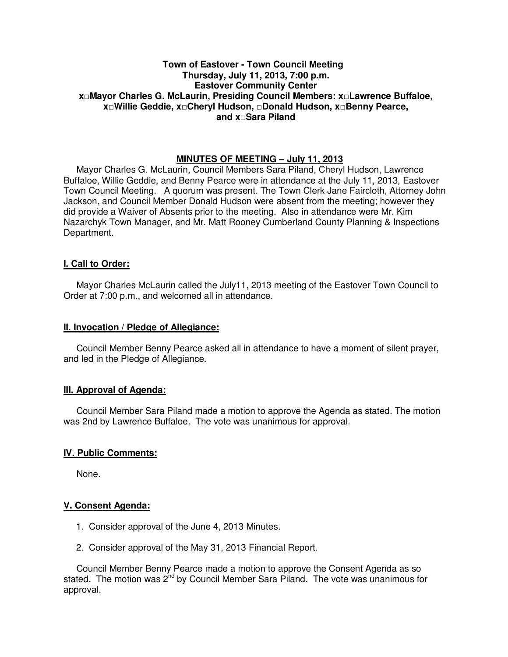## **Town of Eastover - Town Council Meeting Thursday, July 11, 2013, 7:00 p.m. Eastover Community Center x□Mayor Charles G. McLaurin, Presiding Council Members: x□Lawrence Buffaloe, x□Willie Geddie, x□Cheryl Hudson, □Donald Hudson, x□Benny Pearce, and x□Sara Piland**

# **MINUTES OF MEETING – July 11, 2013**

Mayor Charles G. McLaurin, Council Members Sara Piland, Cheryl Hudson, Lawrence Buffaloe, Willie Geddie, and Benny Pearce were in attendance at the July 11, 2013, Eastover Town Council Meeting. A quorum was present. The Town Clerk Jane Faircloth, Attorney John Jackson, and Council Member Donald Hudson were absent from the meeting; however they did provide a Waiver of Absents prior to the meeting. Also in attendance were Mr. Kim Nazarchyk Town Manager, and Mr. Matt Rooney Cumberland County Planning & Inspections Department.

### **I. Call to Order:**

Mayor Charles McLaurin called the July11, 2013 meeting of the Eastover Town Council to Order at 7:00 p.m., and welcomed all in attendance.

#### **II. Invocation / Pledge of Allegiance:**

 Council Member Benny Pearce asked all in attendance to have a moment of silent prayer, and led in the Pledge of Allegiance.

### **III. Approval of Agenda:**

 Council Member Sara Piland made a motion to approve the Agenda as stated. The motion was 2nd by Lawrence Buffaloe. The vote was unanimous for approval.

### **IV. Public Comments:**

None.

### **V. Consent Agenda:**

- 1. Consider approval of the June 4, 2013 Minutes.
- 2. Consider approval of the May 31, 2013 Financial Report.

 Council Member Benny Pearce made a motion to approve the Consent Agenda as so stated. The motion was  $2^{nd}$  by Council Member Sara Piland. The vote was unanimous for approval.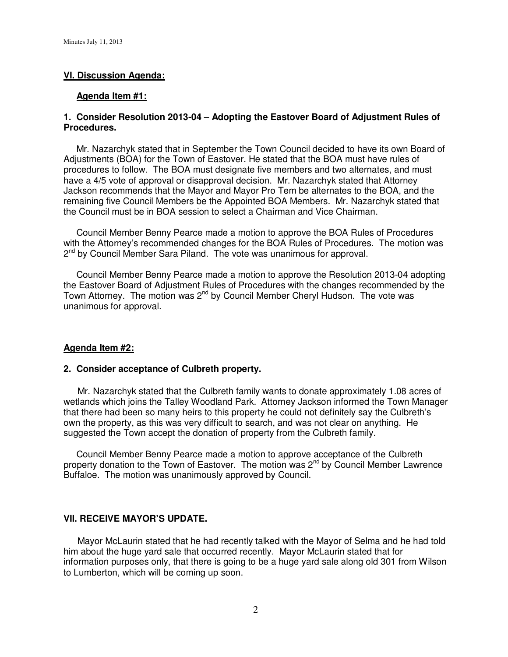# **VI. Discussion Agenda:**

### **Agenda Item #1:**

### **1. Consider Resolution 2013-04 – Adopting the Eastover Board of Adjustment Rules of Procedures.**

Mr. Nazarchyk stated that in September the Town Council decided to have its own Board of Adjustments (BOA) for the Town of Eastover. He stated that the BOA must have rules of procedures to follow. The BOA must designate five members and two alternates, and must have a 4/5 vote of approval or disapproval decision. Mr. Nazarchyk stated that Attorney Jackson recommends that the Mayor and Mayor Pro Tem be alternates to the BOA, and the remaining five Council Members be the Appointed BOA Members. Mr. Nazarchyk stated that the Council must be in BOA session to select a Chairman and Vice Chairman.

 Council Member Benny Pearce made a motion to approve the BOA Rules of Procedures with the Attorney's recommended changes for the BOA Rules of Procedures. The motion was 2<sup>nd</sup> by Council Member Sara Piland. The vote was unanimous for approval.

 Council Member Benny Pearce made a motion to approve the Resolution 2013-04 adopting the Eastover Board of Adjustment Rules of Procedures with the changes recommended by the Town Attorney. The motion was 2<sup>nd</sup> by Council Member Cheryl Hudson. The vote was unanimous for approval.

### **Agenda Item #2:**

#### **2. Consider acceptance of Culbreth property.**

 Mr. Nazarchyk stated that the Culbreth family wants to donate approximately 1.08 acres of wetlands which joins the Talley Woodland Park. Attorney Jackson informed the Town Manager that there had been so many heirs to this property he could not definitely say the Culbreth's own the property, as this was very difficult to search, and was not clear on anything. He suggested the Town accept the donation of property from the Culbreth family.

 Council Member Benny Pearce made a motion to approve acceptance of the Culbreth property donation to the Town of Eastover. The motion was 2<sup>nd</sup> by Council Member Lawrence Buffaloe. The motion was unanimously approved by Council.

#### **VII. RECEIVE MAYOR'S UPDATE.**

 Mayor McLaurin stated that he had recently talked with the Mayor of Selma and he had told him about the huge yard sale that occurred recently. Mayor McLaurin stated that for information purposes only, that there is going to be a huge yard sale along old 301 from Wilson to Lumberton, which will be coming up soon.